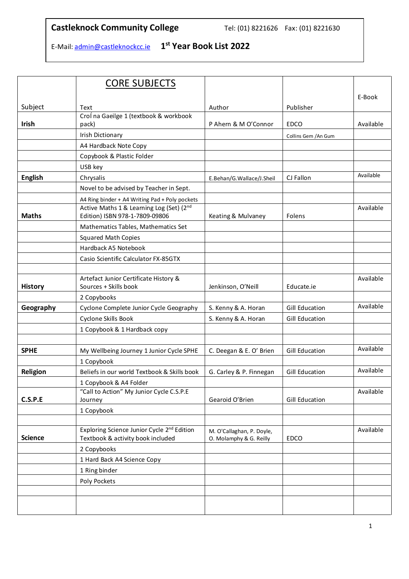## **Castleknock Community College** Tel: (01) 8221626 Fax: (01) 8221630

E-Mail[: admin@castleknockcc.ie](about:blank) **1 st Year Book List 2022** 

|                 | <b>CORE SUBJECTS</b>                                                                        |                                                      |                       |           |
|-----------------|---------------------------------------------------------------------------------------------|------------------------------------------------------|-----------------------|-----------|
|                 |                                                                                             |                                                      |                       | E-Book    |
| Subject         | Text                                                                                        | Author                                               | Publisher             |           |
|                 | Crol na Gaeilge 1 (textbook & workbook                                                      |                                                      |                       |           |
| <b>Irish</b>    | pack)                                                                                       | P Ahern & M O'Connor                                 | <b>EDCO</b>           | Available |
|                 | Irish Dictionary                                                                            |                                                      | Collins Gem /An Gum   |           |
|                 | A4 Hardback Note Copy                                                                       |                                                      |                       |           |
|                 | Copybook & Plastic Folder                                                                   |                                                      |                       |           |
|                 | USB key                                                                                     |                                                      |                       |           |
| <b>English</b>  | Chrysalis                                                                                   | E.Behan/G.Wallace/J.Sheil                            | CJ Fallon             | Available |
|                 | Novel to be advised by Teacher in Sept.                                                     |                                                      |                       |           |
|                 | A4 Ring binder + A4 Writing Pad + Poly pockets                                              |                                                      |                       |           |
| <b>Maths</b>    | Active Maths 1 & Learning Log (Set) (2nd<br>Edition) ISBN 978-1-7809-09806                  | Keating & Mulvaney                                   | Folens                | Available |
|                 | Mathematics Tables, Mathematics Set                                                         |                                                      |                       |           |
|                 | <b>Squared Math Copies</b>                                                                  |                                                      |                       |           |
|                 | Hardback A5 Notebook                                                                        |                                                      |                       |           |
|                 | Casio Scientific Calculator FX-85GTX                                                        |                                                      |                       |           |
|                 |                                                                                             |                                                      |                       |           |
| <b>History</b>  | Artefact Junior Certificate History &<br>Sources + Skills book                              | Jenkinson, O'Neill                                   | Educate.ie            | Available |
|                 | 2 Copybooks                                                                                 |                                                      |                       |           |
| Geography       | Cyclone Complete Junior Cycle Geography                                                     | S. Kenny & A. Horan                                  | <b>Gill Education</b> | Available |
|                 | Cyclone Skills Book                                                                         | S. Kenny & A. Horan                                  | Gill Education        |           |
|                 | 1 Copybook & 1 Hardback copy                                                                |                                                      |                       |           |
|                 |                                                                                             |                                                      |                       |           |
| <b>SPHE</b>     | My Wellbeing Journey 1 Junior Cycle SPHE                                                    | C. Deegan & E. O' Brien                              | Gill Education        | Available |
|                 | 1 Copybook                                                                                  |                                                      |                       |           |
| <b>Religion</b> | Beliefs in our world Textbook & Skills book                                                 | G. Carley & P. Finnegan                              | Gill Education        | Available |
|                 | 1 Copybook & A4 Folder                                                                      |                                                      |                       |           |
|                 | "Call to Action" My Junior Cycle C.S.P.E                                                    |                                                      |                       | Available |
| C.S.P.E         | Journey                                                                                     | Gearoid O'Brien                                      | Gill Education        |           |
|                 | 1 Copybook                                                                                  |                                                      |                       |           |
|                 |                                                                                             |                                                      |                       |           |
| <b>Science</b>  | Exploring Science Junior Cycle 2 <sup>nd</sup> Edition<br>Textbook & activity book included | M. O'Callaghan, P. Doyle,<br>O. Molamphy & G. Reilly | <b>EDCO</b>           | Available |
|                 | 2 Copybooks                                                                                 |                                                      |                       |           |
|                 | 1 Hard Back A4 Science Copy                                                                 |                                                      |                       |           |
|                 | 1 Ring binder                                                                               |                                                      |                       |           |
|                 | Poly Pockets                                                                                |                                                      |                       |           |
|                 |                                                                                             |                                                      |                       |           |
|                 |                                                                                             |                                                      |                       |           |
|                 |                                                                                             |                                                      |                       |           |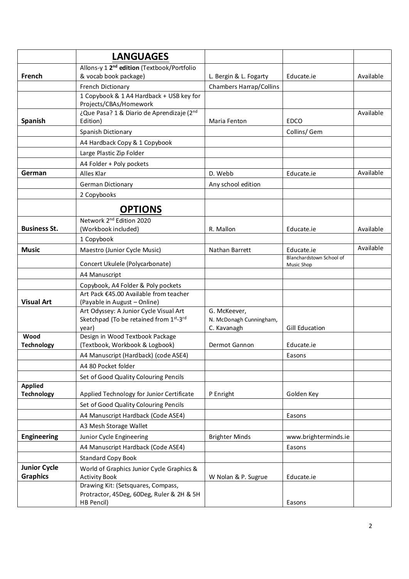|                                     | <b>LANGUAGES</b>                                                                 |                                         |                                        |           |
|-------------------------------------|----------------------------------------------------------------------------------|-----------------------------------------|----------------------------------------|-----------|
|                                     | Allons-y 1 2 <sup>nd</sup> edition (Textbook/Portfolio                           |                                         |                                        |           |
| French                              | & vocab book package)                                                            | L. Bergin & L. Fogarty                  | Educate.ie                             | Available |
|                                     | French Dictionary<br>1 Copybook & 1 A4 Hardback + USB key for                    | <b>Chambers Harrap/Collins</b>          |                                        |           |
|                                     | Projects/CBAs/Homework                                                           |                                         |                                        |           |
|                                     | ¿Que Pasa? 1 & Diario de Aprendizaje (2nd                                        |                                         |                                        | Available |
| <b>Spanish</b>                      | Edition)                                                                         | Maria Fenton                            | <b>EDCO</b>                            |           |
|                                     | Spanish Dictionary                                                               |                                         | Collins/ Gem                           |           |
|                                     | A4 Hardback Copy & 1 Copybook                                                    |                                         |                                        |           |
|                                     | Large Plastic Zip Folder                                                         |                                         |                                        |           |
|                                     | A4 Folder + Poly pockets                                                         |                                         |                                        |           |
| German                              | Alles Klar                                                                       | D. Webb                                 | Educate.ie                             | Available |
|                                     | German Dictionary                                                                | Any school edition                      |                                        |           |
|                                     | 2 Copybooks                                                                      |                                         |                                        |           |
|                                     | <b>OPTIONS</b>                                                                   |                                         |                                        |           |
|                                     | Network 2 <sup>nd</sup> Edition 2020                                             |                                         |                                        |           |
| <b>Business St.</b>                 | (Workbook included)                                                              | R. Mallon                               | Educate.ie                             | Available |
|                                     | 1 Copybook                                                                       |                                         |                                        |           |
| <b>Music</b>                        | Maestro (Junior Cycle Music)                                                     | Nathan Barrett                          | Educate.ie                             | Available |
|                                     | Concert Ukulele (Polycarbonate)                                                  |                                         | Blanchardstown School of<br>Music Shop |           |
|                                     | A4 Manuscript                                                                    |                                         |                                        |           |
|                                     | Copybook, A4 Folder & Poly pockets                                               |                                         |                                        |           |
|                                     | Art Pack €45.00 Available from teacher                                           |                                         |                                        |           |
| <b>Visual Art</b>                   | (Payable in August - Online)                                                     |                                         |                                        |           |
|                                     | Art Odyssey: A Junior Cycle Visual Art<br>Sketchpad (To be retained from 1st-3rd | G. McKeever,<br>N. McDonagh Cunningham, |                                        |           |
|                                     | year)                                                                            | C. Kavanagh                             | Gill Education                         |           |
| Wood                                | Design in Wood Textbook Package                                                  |                                         |                                        |           |
| <b>Technology</b>                   | (Textbook, Workbook & Logbook)                                                   | Dermot Gannon                           | Educate.ie                             |           |
|                                     | A4 Manuscript (Hardback) (code ASE4)                                             |                                         | Easons                                 |           |
|                                     | A4 80 Pocket folder                                                              |                                         |                                        |           |
|                                     | Set of Good Quality Colouring Pencils                                            |                                         |                                        |           |
| <b>Applied</b><br><b>Technology</b> | Applied Technology for Junior Certificate                                        | P Enright                               | Golden Key                             |           |
|                                     | Set of Good Quality Colouring Pencils                                            |                                         |                                        |           |
|                                     | A4 Manuscript Hardback (Code ASE4)                                               |                                         | Easons                                 |           |
|                                     | A3 Mesh Storage Wallet                                                           |                                         |                                        |           |
| <b>Engineering</b>                  | Junior Cycle Engineering                                                         | <b>Brighter Minds</b>                   | www.brighterminds.ie                   |           |
|                                     | A4 Manuscript Hardback (Code ASE4)                                               |                                         | Easons                                 |           |
|                                     | <b>Standard Copy Book</b>                                                        |                                         |                                        |           |
| <b>Junior Cycle</b>                 |                                                                                  |                                         |                                        |           |
| <b>Graphics</b>                     | World of Graphics Junior Cycle Graphics &<br><b>Activity Book</b>                | W Nolan & P. Sugrue                     | Educate.ie                             |           |
|                                     | Drawing Kit: (Setsquares, Compass,                                               |                                         |                                        |           |
|                                     | Protractor, 45Deg, 60Deg, Ruler & 2H & 5H                                        |                                         |                                        |           |
|                                     | HB Pencil)                                                                       |                                         | Easons                                 |           |